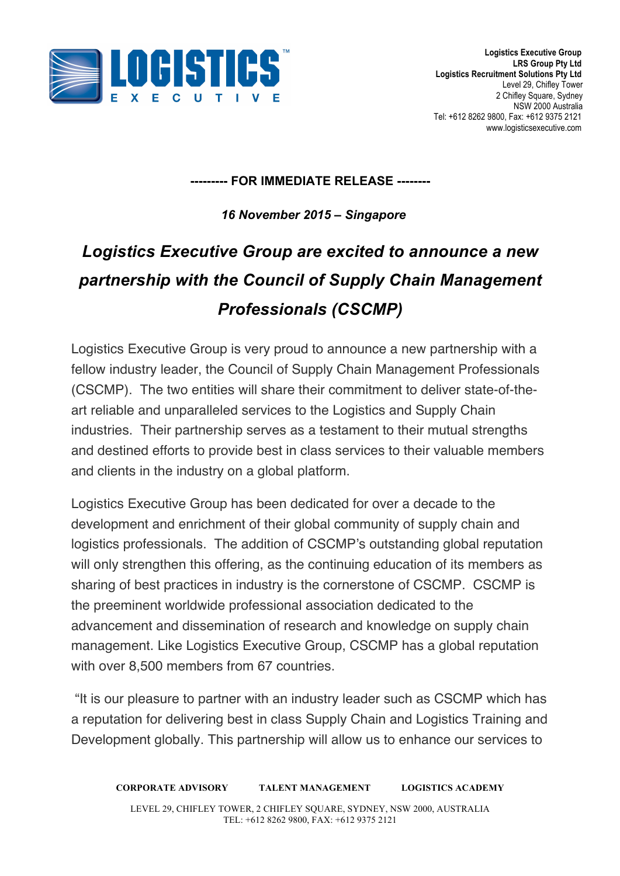

## **--------- FOR IMMEDIATE RELEASE --------**

*16 November 2015 – Singapore*

# *Logistics Executive Group are excited to announce a new partnership with the Council of Supply Chain Management Professionals (CSCMP)*

Logistics Executive Group is very proud to announce a new partnership with a fellow industry leader, the Council of Supply Chain Management Professionals (CSCMP). The two entities will share their commitment to deliver state-of-theart reliable and unparalleled services to the Logistics and Supply Chain industries. Their partnership serves as a testament to their mutual strengths and destined efforts to provide best in class services to their valuable members and clients in the industry on a global platform.

Logistics Executive Group has been dedicated for over a decade to the development and enrichment of their global community of supply chain and logistics professionals. The addition of CSCMP's outstanding global reputation will only strengthen this offering, as the continuing education of its members as sharing of best practices in industry is the cornerstone of CSCMP. CSCMP is the preeminent worldwide professional association dedicated to the advancement and dissemination of research and knowledge on supply chain management. Like Logistics Executive Group, CSCMP has a global reputation with over 8,500 members from 67 countries.

"It is our pleasure to partner with an industry leader such as CSCMP which has a reputation for delivering best in class Supply Chain and Logistics Training and Development globally. This partnership will allow us to enhance our services to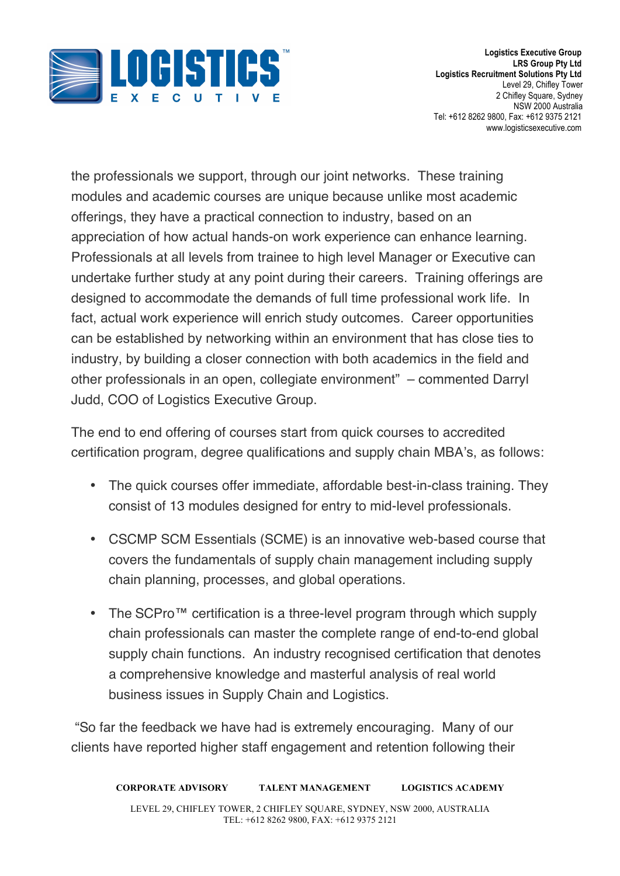

the professionals we support, through our joint networks. These training modules and academic courses are unique because unlike most academic offerings, they have a practical connection to industry, based on an appreciation of how actual hands-on work experience can enhance learning. Professionals at all levels from trainee to high level Manager or Executive can undertake further study at any point during their careers. Training offerings are designed to accommodate the demands of full time professional work life. In fact, actual work experience will enrich study outcomes. Career opportunities can be established by networking within an environment that has close ties to industry, by building a closer connection with both academics in the field and other professionals in an open, collegiate environment" – commented Darryl Judd, COO of Logistics Executive Group.

The end to end offering of courses start from quick courses to accredited certification program, degree qualifications and supply chain MBA's, as follows:

- The quick courses offer immediate, affordable best-in-class training. They consist of 13 modules designed for entry to mid-level professionals.
- CSCMP SCM Essentials (SCME) is an innovative web-based course that covers the fundamentals of supply chain management including supply chain planning, processes, and global operations.
- The SCPro™ certification is a three-level program through which supply chain professionals can master the complete range of end-to-end global supply chain functions. An industry recognised certification that denotes a comprehensive knowledge and masterful analysis of real world business issues in Supply Chain and Logistics.

"So far the feedback we have had is extremely encouraging. Many of our clients have reported higher staff engagement and retention following their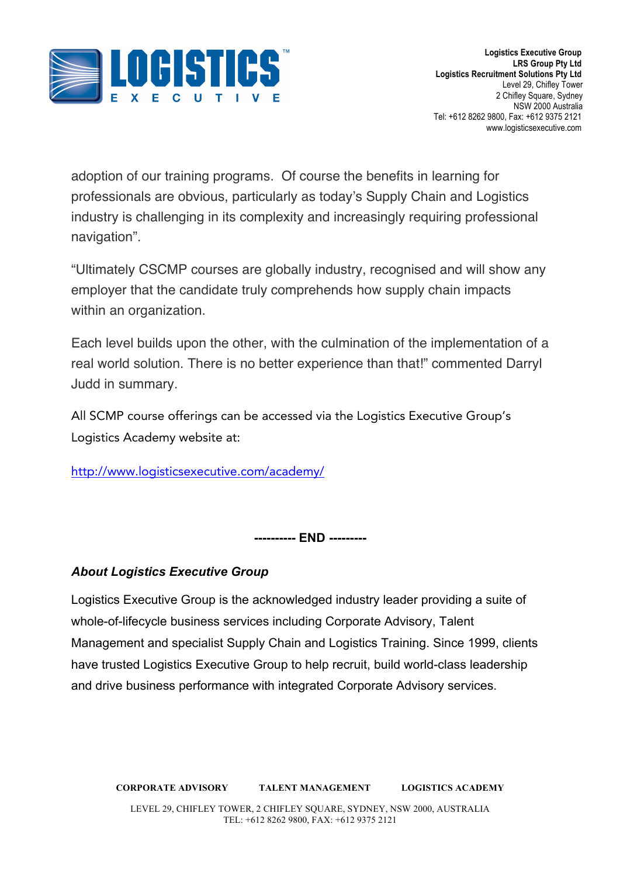

adoption of our training programs. Of course the benefits in learning for professionals are obvious, particularly as today's Supply Chain and Logistics industry is challenging in its complexity and increasingly requiring professional navigation".

"Ultimately CSCMP courses are globally industry, recognised and will show any employer that the candidate truly comprehends how supply chain impacts within an organization.

Each level builds upon the other, with the culmination of the implementation of a real world solution. There is no better experience than that!" commented Darryl Judd in summary.

All SCMP course offerings can be accessed via the Logistics Executive Group's Logistics Academy website at:

http://www.logisticsexecutive.com/academy/

**---------- END ---------**

## *About Logistics Executive Group*

Logistics Executive Group is the acknowledged industry leader providing a suite of whole-of-lifecycle business services including Corporate Advisory, Talent Management and specialist Supply Chain and Logistics Training. Since 1999, clients have trusted Logistics Executive Group to help recruit, build world-class leadership and drive business performance with integrated Corporate Advisory services.

**CORPORATE ADVISORY TALENT MANAGEMENT LOGISTICS ACADEMY** LEVEL 29, CHIFLEY TOWER, 2 CHIFLEY SQUARE, SYDNEY, NSW 2000, AUSTRALIA TEL: +612 8262 9800, FAX: +612 9375 2121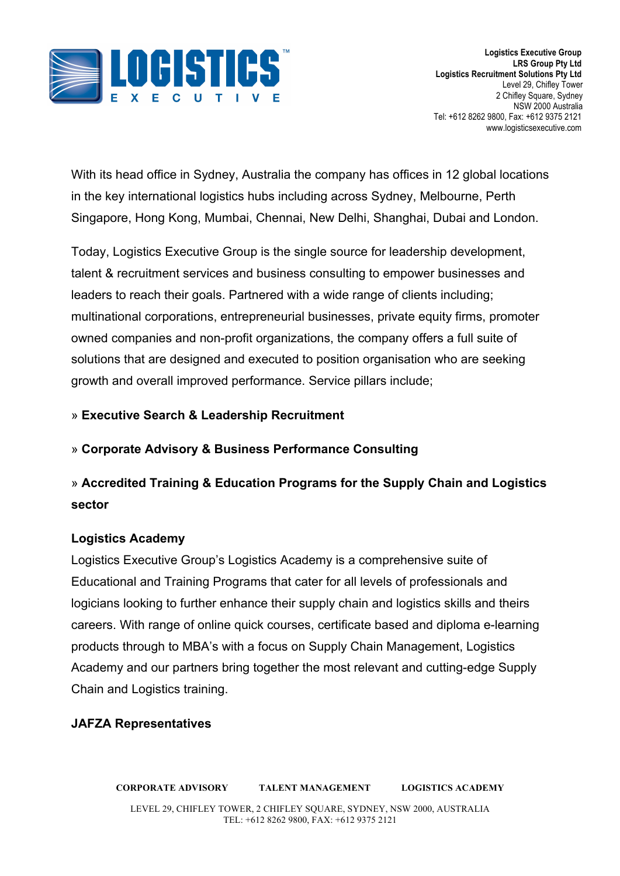

With its head office in Sydney, Australia the company has offices in 12 global locations in the key international logistics hubs including across Sydney, Melbourne, Perth Singapore, Hong Kong, Mumbai, Chennai, New Delhi, Shanghai, Dubai and London.

Today, Logistics Executive Group is the single source for leadership development, talent & recruitment services and business consulting to empower businesses and leaders to reach their goals. Partnered with a wide range of clients including; multinational corporations, entrepreneurial businesses, private equity firms, promoter owned companies and non-profit organizations, the company offers a full suite of solutions that are designed and executed to position organisation who are seeking growth and overall improved performance. Service pillars include;

### » **Executive Search & Leadership Recruitment**

#### » **Corporate Advisory & Business Performance Consulting**

# » **Accredited Training & Education Programs for the Supply Chain and Logistics sector**

#### **Logistics Academy**

Logistics Executive Group's Logistics Academy is a comprehensive suite of Educational and Training Programs that cater for all levels of professionals and logicians looking to further enhance their supply chain and logistics skills and theirs careers. With range of online quick courses, certificate based and diploma e-learning products through to MBA's with a focus on Supply Chain Management, Logistics Academy and our partners bring together the most relevant and cutting-edge Supply Chain and Logistics training.

#### **JAFZA Representatives**